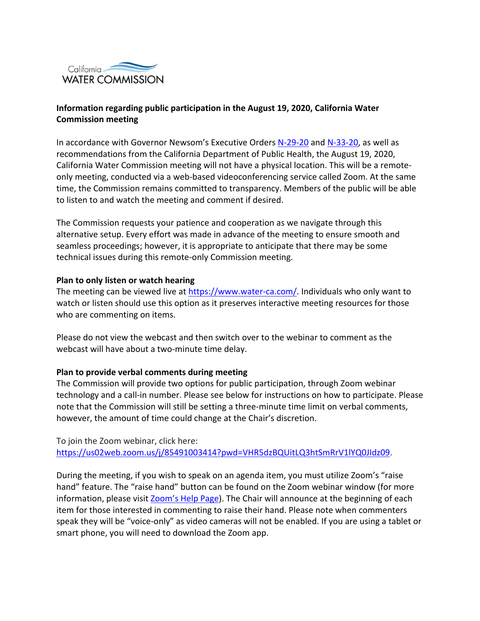

## **Information regarding public participation in the August 19, 2020, California Water Commission meeting**

In accordance with Governor Newsom's Executive Orders [N-29-20](https://gcc02.safelinks.protection.outlook.com/?url=https%3A%2F%2Fwww.gov.ca.gov%2Fwp-content%2Fuploads%2F2020%2F03%2F3.17.20-N-29-20-EO.pdf&data=02%7C01%7C%7C7f270e9e9b87429ba14008d7ebc4fe6c%7Cb71d56524b834257afcd7fd177884564%7C0%7C0%7C637237103625072783&sdata=tElsUTnAOrirGIG2bu1MwYhsMN65mLErebr%2B2%2BgnVOU%3D&reserved=0) and [N-33-20,](https://gcc02.safelinks.protection.outlook.com/?url=https%3A%2F%2Fwww.gov.ca.gov%2Fwp-content%2Fuploads%2F2020%2F03%2F3.19.20-attested-EO-N-33-20-COVID-19-HEALTH-ORDER.pdf&data=02%7C01%7C%7C7f270e9e9b87429ba14008d7ebc4fe6c%7Cb71d56524b834257afcd7fd177884564%7C0%7C0%7C637237103625077771&sdata=u1GtrpQnZZobNUopiO9i3fRl6uSpVIJo8XZFXXZRAys%3D&reserved=0) as well as recommendations from the California Department of Public Health, the August 19, 2020, California Water Commission meeting will not have a physical location. This will be a remoteonly meeting, conducted via a web-based videoconferencing service called Zoom. At the same time, the Commission remains committed to transparency. Members of the public will be able to listen to and watch the meeting and comment if desired.

The Commission requests your patience and cooperation as we navigate through this alternative setup. Every effort was made in advance of the meeting to ensure smooth and seamless proceedings; however, it is appropriate to anticipate that there may be some technical issues during this remote-only Commission meeting.

## **Plan to only listen or watch hearing**

The meeting can be viewed live at [https://www.water-ca.com/.](https://www.water-ca.com/) Individuals who only want to watch or listen should use this option as it preserves interactive meeting resources for those who are commenting on items.

Please do not view the webcast and then switch over to the webinar to comment as the webcast will have about a two-minute time delay.

## **Plan to provide verbal comments during meeting**

The Commission will provide two options for public participation, through Zoom webinar technology and a call-in number. Please see below for instructions on how to participate. Please note that the Commission will still be setting a three-minute time limit on verbal comments, however, the amount of time could change at the Chair's discretion.

To join the Zoom webinar, click here: [https://us02web.zoom.us/j/85491003414?pwd=VHR5dzBQUitLQ3htSmRrV1lYQ0JIdz09.](https://gcc02.safelinks.protection.outlook.com/?url=https%3A%2F%2Fus02web.zoom.us%2Fj%2F85491003414%3Fpwd%3DVHR5dzBQUitLQ3htSmRrV1lYQ0JIdz09&data=02%7C01%7C%7C90f2ce130ae44231db6a08d83a5263e9%7Cb71d56524b834257afcd7fd177884564%7C0%7C0%7C637323472825169012&sdata=Y%2Fa7NQpWjE9J87sfPzx2pN7d5qhpwBZusZdo1iQPwYY%3D&reserved=0)

During the meeting, if you wish to speak on an agenda item, you must utilize Zoom's "raise hand" feature. The "raise hand" button can be found on the Zoom webinar window (for more information, please visit [Zoom's](https://support.zoom.us/hc/en-us/articles/205566129-Raise-Hand-In-Webinar) Help Page). The Chair will announce at the beginning of each item for those interested in commenting to raise their hand. Please note when commenters speak they will be "voice-only" as video cameras will not be enabled. If you are using a tablet or smart phone, you will need to download the Zoom app.